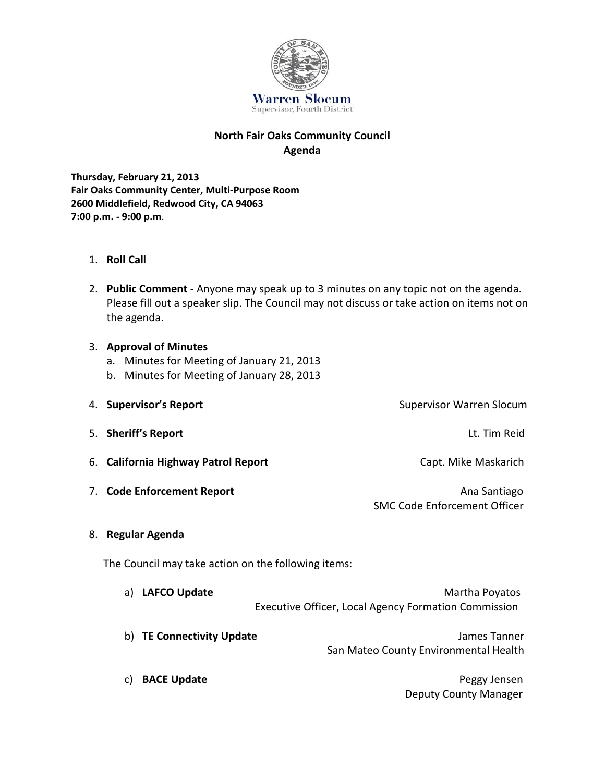

## **North Fair Oaks Community Council Agenda**

**Thursday, February 21, 2013 Fair Oaks Community Center, Multi-Purpose Room 2600 Middlefield, Redwood City, CA 94063 7:00 p.m. - 9:00 p.m**.

- 1. **Roll Call**
- 2. **Public Comment** Anyone may speak up to 3 minutes on any topic not on the agenda. Please fill out a speaker slip. The Council may not discuss or take action on items not on the agenda.

## 3. **Approval of Minutes**

- a. Minutes for Meeting of January 21, 2013
- b. Minutes for Meeting of January 28, 2013
- 4. **Supervisor's Report** Supervisor Warren Slocum 5. **Sheriff's Report** Lt. Tim Reid 6. **California Highway Patrol Report** Capt. Mike Maskarich 7. Code Enforcement Report **Analyzine State Control Control Control Control Control Control Control Control Control Control Control Control Control Control Control Control Control Control Control Control Control Control Co** SMC Code Enforcement Officer 8. **Regular Agenda**

The Council may take action on the following items:

| a) | <b>LAFCO Update</b>       | Martha Poyatos                                              |
|----|---------------------------|-------------------------------------------------------------|
|    |                           | <b>Executive Officer, Local Agency Formation Commission</b> |
|    | b) TE Connectivity Update | James Tanner<br>San Mateo County Environmental Health       |
|    | <b>BACE Update</b>        | Peggy Jensen                                                |

Deputy County Manager